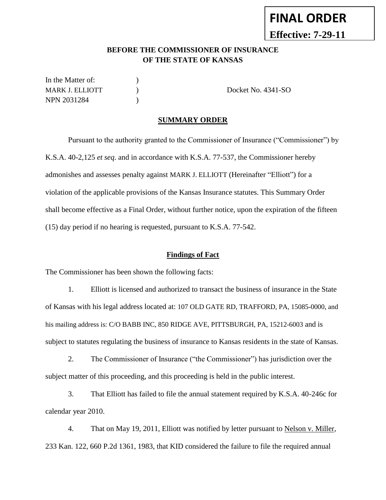# **FINAL ORDER**

**Effective: 7-29-11**

#### **BEFORE THE COMMISSIONER OF INSURANCE OF THE STATE OF KANSAS**

In the Matter of:  $\qquad \qquad$  ) MARK J. ELLIOTT  $O(1.341-S)$ NPN 2031284 (a)

#### **SUMMARY ORDER**

Pursuant to the authority granted to the Commissioner of Insurance ("Commissioner") by K.S.A. 40-2,125 *et seq*. and in accordance with K.S.A. 77-537, the Commissioner hereby admonishes and assesses penalty against MARK J. ELLIOTT (Hereinafter "Elliott") for a violation of the applicable provisions of the Kansas Insurance statutes. This Summary Order shall become effective as a Final Order, without further notice, upon the expiration of the fifteen (15) day period if no hearing is requested, pursuant to K.S.A. 77-542.

#### **Findings of Fact**

The Commissioner has been shown the following facts:

1. Elliott is licensed and authorized to transact the business of insurance in the State of Kansas with his legal address located at: 107 OLD GATE RD, TRAFFORD, PA, 15085-0000, and his mailing address is: C/O BABB INC, 850 RIDGE AVE, PITTSBURGH, PA, 15212-6003 and is subject to statutes regulating the business of insurance to Kansas residents in the state of Kansas.

2. The Commissioner of Insurance ("the Commissioner") has jurisdiction over the subject matter of this proceeding, and this proceeding is held in the public interest.

3. That Elliott has failed to file the annual statement required by K.S.A. 40-246c for calendar year 2010.

4. That on May 19, 2011, Elliott was notified by letter pursuant to Nelson v. Miller, 233 Kan. 122, 660 P.2d 1361, 1983, that KID considered the failure to file the required annual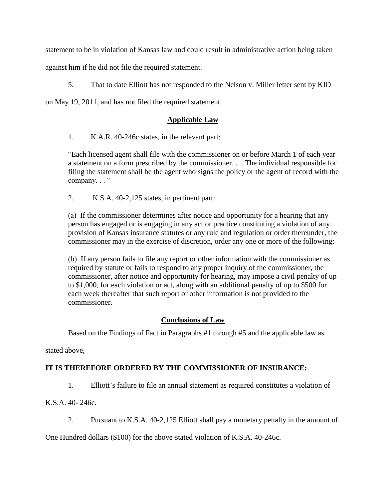statement to be in violation of Kansas law and could result in administrative action being taken

against him if he did not file the required statement.

5. That to date Elliott has not responded to the Nelson v. Miller letter sent by KID

on May 19, 2011, and has not filed the required statement.

#### **Applicable Law**

1. K.A.R. 40-246c states, in the relevant part:

"Each licensed agent shall file with the commissioner on or before March 1 of each year a statement on a form prescribed by the commissioner. . . The individual responsible for filing the statement shall be the agent who signs the policy or the agent of record with the company..."

2. K.S.A. 40-2,125 states, in pertinent part:

(a) If the commissioner determines after notice and opportunity for a hearing that any person has engaged or is engaging in any act or practice constituting a violation of any provision of Kansas insurance statutes or any rule and regulation or order thereunder, the commissioner may in the exercise of discretion, order any one or more of the following:

(b) If any person fails to file any report or other information with the commissioner as required by statute or fails to respond to any proper inquiry of the commissioner, the commissioner, after notice and opportunity for hearing, may impose a civil penalty of up to \$1,000, for each violation or act, along with an additional penalty of up to \$500 for each week thereafter that such report or other information is not provided to the commissioner.

## **Conclusions of Law**

Based on the Findings of Fact in Paragraphs #1 through #5 and the applicable law as

stated above,

## **IT IS THEREFORE ORDERED BY THE COMMISSIONER OF INSURANCE:**

1. Elliott's failure to file an annual statement as required constitutes a violation of

K.S.A. 40- 246c.

2. Pursuant to K.S.A. 40-2,125 Elliott shall pay a monetary penalty in the amount of

One Hundred dollars (\$100) for the above-stated violation of K.S.A. 40-246c.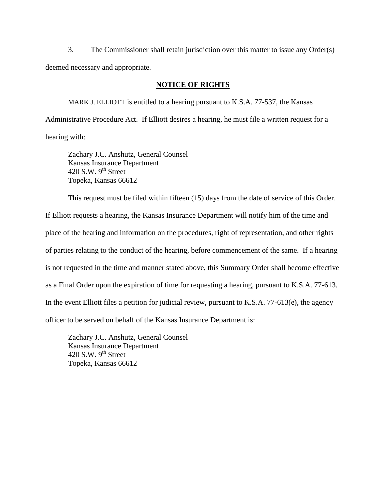3. The Commissioner shall retain jurisdiction over this matter to issue any Order(s) deemed necessary and appropriate.

#### **NOTICE OF RIGHTS**

MARK J. ELLIOTT is entitled to a hearing pursuant to K.S.A. 77-537, the Kansas Administrative Procedure Act. If Elliott desires a hearing, he must file a written request for a hearing with:

Zachary J.C. Anshutz, General Counsel Kansas Insurance Department 420 S.W.  $9<sup>th</sup>$  Street Topeka, Kansas 66612

This request must be filed within fifteen (15) days from the date of service of this Order.

If Elliott requests a hearing, the Kansas Insurance Department will notify him of the time and place of the hearing and information on the procedures, right of representation, and other rights of parties relating to the conduct of the hearing, before commencement of the same. If a hearing is not requested in the time and manner stated above, this Summary Order shall become effective as a Final Order upon the expiration of time for requesting a hearing, pursuant to K.S.A. 77-613. In the event Elliott files a petition for judicial review, pursuant to K.S.A. 77-613(e), the agency officer to be served on behalf of the Kansas Insurance Department is:

Zachary J.C. Anshutz, General Counsel Kansas Insurance Department 420 S.W.  $9<sup>th</sup>$  Street Topeka, Kansas 66612